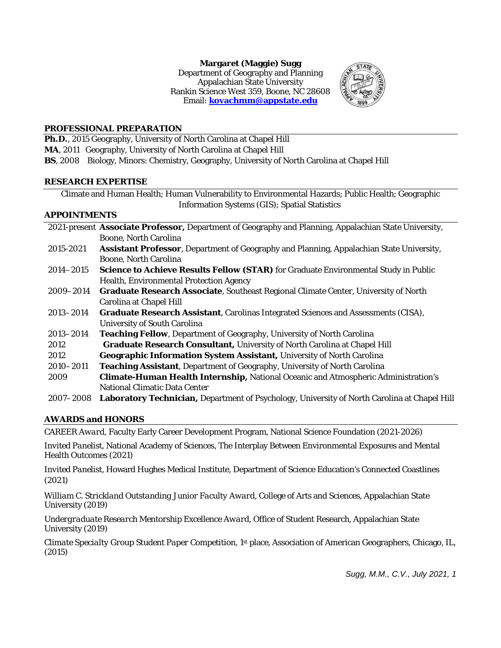**Margaret (Maggie) Sugg**  Department of Geography and Planning Appalachian State University Rankin Science West 359, Boone, NC 28608 Email: **[kovachmm@appstate.edu](mailto:kovachmm@appstate.edu)**



## **PROFESSIONAL PREPARATION**

**Ph.D.**, 2015 Geography, University of North Carolina at Chapel Hill **MA**, 2011 Geography, University of North Carolina at Chapel Hill **BS**, 2008 Biology, Minors: Chemistry, Geography, University of North Carolina at Chapel Hill

### **RESEARCH EXPERTISE**

Climate and Human Health; Human Vulnerability to Environmental Hazards; Public Health; Geographic Information Systems (GIS); Spatial Statistics

## **APPOINTMENTS**

|               | 2021-present Associate Professor, Department of Geography and Planning, Appalachian State University, |
|---------------|-------------------------------------------------------------------------------------------------------|
|               | <b>Boone, North Carolina</b>                                                                          |
| 2015-2021     | <b>Assistant Professor</b> , Department of Geography and Planning, Appalachian State University,      |
|               | <b>Boone, North Carolina</b>                                                                          |
| $2014 - 2015$ | <b>Science to Achieve Results Fellow (STAR)</b> for Graduate Environmental Study in Public            |
|               | <b>Health, Environmental Protection Agency</b>                                                        |
| 2009–2014     | <b>Graduate Research Associate, Southeast Regional Climate Center, University of North</b>            |
|               | <b>Carolina at Chapel Hill</b>                                                                        |
| $2013 - 2014$ | <b>Graduate Research Assistant, Carolinas Integrated Sciences and Assessments (CISA),</b>             |
|               | <b>University of South Carolina</b>                                                                   |
| 2013-2014     | Teaching Fellow, Department of Geography, University of North Carolina                                |
| 2012          | <b>Graduate Research Consultant, University of North Carolina at Chapel Hill</b>                      |
| 2012          | <b>Geographic Information System Assistant, University of North Carolina</b>                          |
| 2010-2011     | <b>Teaching Assistant, Department of Geography, University of North Carolina</b>                      |
| 2009          | <b>Climate-Human Health Internship, National Oceanic and Atmospheric Administration's</b>             |
|               | <b>National Climatic Data Center</b>                                                                  |
| 2007–2008     | Laboratory Technician, Department of Psychology, University of North Carolina at Chapel Hill          |

# **AWARDS and HONORS**

*CAREER Award,* Faculty Early Career Development Program, National Science Foundation (2021-2026)

*Invited Panelist,* National Academy of Sciences, The Interplay Between Environmental Exposures and Mental Health Outcomes (2021)

*Invited Panelist,* Howard Hughes Medical Institute, Department of Science Education's Connected Coastlines (2021)

*William C. Strickland Outstanding Junior Faculty Award,* College of Arts and Sciences, Appalachian State University (2019)

*Undergraduate Research Mentorship Excellence Award,* Office of Student Research, Appalachian State University (2019)

*Climate Specialty Group Student Paper Competition,* 1st place, Association of American Geographers, Chicago, IL, (2015)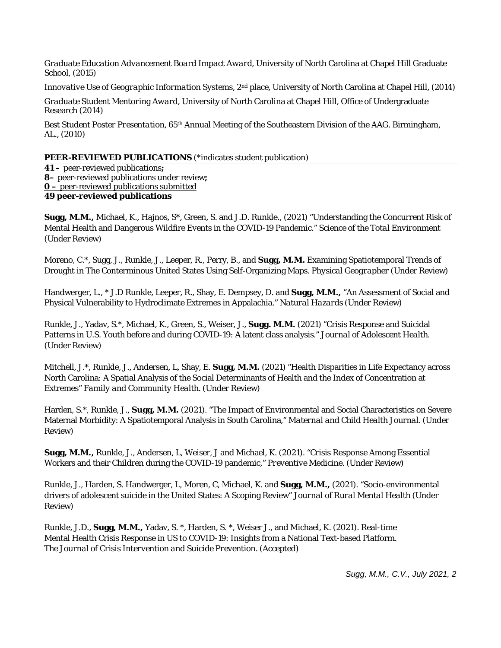*Graduate Education Advancement Board Impact Award,* University of North Carolina at Chapel Hill Graduate School, (2015)

*Innovative Use of Geographic Information Systems, 2nd place, University of North Carolina at Chapel Hill, (2014)* 

*Graduate Student Mentori*ng *Award*, University of North Carolina at Chapel Hill, Office of Undergraduate Research (2014)

*Best Student Poster Presentation*, 65th Annual Meeting of the Southeastern Division of the AAG. Birmingham, AL., (2010)

## **PEER-REVIEWED PUBLICATIONS** (\*indicates student publication)

**41 –** peer-reviewed publications**; 8–** peer-reviewed publications under review**; 0 –** peer-reviewed publications submitted **49 peer-reviewed publications** 

**Sugg, M.M.,** Michael, K., Hajnos, S\*, Green, S. and J.D. Runkle., (2021) "Understanding the Concurrent Risk of Mental Health and Dangerous Wildfire Events in the COVID-19 Pandemic." *Science of the Total Environment*  (Under Review)

Moreno, C.\*, Sugg, J., Runkle, J., Leeper, R., Perry, B., and **Sugg, M.M.** Examining Spatiotemporal Trends of Drought in The Conterminous United States Using Self-Organizing Maps. *Physical Geographer* (Under Review)

Handwerger, L., \* J.D Runkle, Leeper, R., Shay, E. Dempsey, D. and **Sugg, M.M.,** "An Assessment of Social and Physical Vulnerability to Hydroclimate Extremes in Appalachia." *Natural Hazards* (Under Review)

Runkle, J., Yadav, S.\*, Michael, K., Green, S., Weiser, J., **Sugg. M.M.** (2021) "Crisis Response and Suicidal Patterns in U.S. Youth before and during COVID-19: A latent class analysis." *Journal of Adolescent Health.*  (Under Review)

Mitchell, J.\*, Runkle, J., Andersen, L, Shay, E. **Sugg, M.M.** (2021) "Health Disparities in Life Expectancy across North Carolina: A Spatial Analysis of the Social Determinants of Health and the Index of Concentration at Extremes" *Family and Community Health*. (Under Review)

Harden, S.\*, Runkle, J., **Sugg, M.M.** (2021). "The Impact of Environmental and Social Characteristics on Severe Maternal Morbidity: A Spatiotemporal Analysis in South Carolina," *Maternal and Child Health Journal.* (Under Review)

**Sugg, M.M.,** Runkle, J., Andersen, L, Weiser, J and Michael, K. (2021). "Crisis Response Among Essential Workers and their Children during the COVID-19 pandemic," *Preventive Medicine.* (Under Review)

Runkle, J., Harden, S. Handwerger, L, Moren, C, Michael, K. and **Sugg, M.M.,** (2021). "Socio-environmental drivers of adolescent suicide in the United States: A Scoping Review" *Journal of Rural Mental Health* (Under Review)

Runkle, J.D., **Sugg, M.M.,** Yadav, S. \*, Harden, S. \*, Weiser J., and Michael, K. (2021). Real-time Mental Health Crisis Response in US to COVID-19: Insights from a National Text-based Platform. *The Journal of Crisis Intervention and Suicide Prevention.* (Accepted)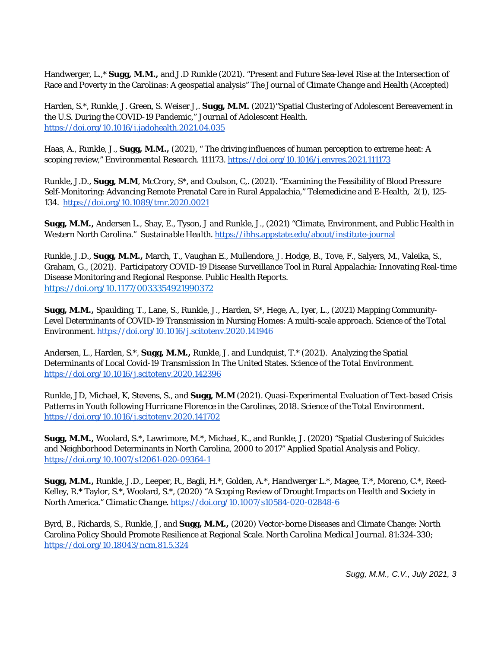Handwerger, L.,\* **Sugg, M.M.,** and J.D Runkle (2021). "Present and Future Sea-level Rise at the Intersection of Race and Poverty in the Carolinas: A geospatial analysis" *The Journal of Climate Change and Health* (Accepted)

Harden, S.\*, Runkle, J. Green, S. Weiser J,. **Sugg, M.M.** (2021)"Spatial Clustering of Adolescent Bereavement in the U.S. During the COVID-19 Pandemic," *Journal of Adolescent Health.*  <https://doi.org/10.1016/j.jadohealth.2021.04.035>

Haas, A., Runkle, J., **Sugg, M.M.,** (2021), " The driving influences of human perception to extreme heat: A scoping review," *Environmental Research.* 111173.<https://doi.org/10.1016/j.envres.2021.111173>

Runkle, J.D., **Sugg, M.M**, McCrory, S\*, and Coulson, C,. (2021). "Examining the Feasibility of Blood Pressure Self-Monitoring: Advancing Remote Prenatal Care in Rural Appalachia," *Telemedicine and E-Health,* 2(1), 125- 134*.* <https://doi.org/10.1089/tmr.2020.0021>

**Sugg, M.M.,** Andersen L., Shay, E., Tyson, J and Runkle, J., (2021) "Climate, Environment, and Public Health in Western North Carolina." *Sustainable Health.* <https://ihhs.appstate.edu/about/institute-journal>

Runkle, J.D., **Sugg, M.M.,** March, T., Vaughan E., Mullendore, J. Hodge, B., Tove, F., Salyers, M., Valeika, S., Graham, G., (2021). Participatory COVID-19 Disease Surveillance Tool in Rural Appalachia: Innovating Real-time Disease Monitoring and Regional Response. *Public Health Reports.*  [https://doi.org/10.1177/0033354921990372](https://doi.org/10.1177%2F0033354921990372)

**Sugg, M.M.,** Spaulding, T., Lane, S., Runkle, J., Harden, S\*, Hege, A., Iyer, L., (2021) Mapping Community-Level Determinants of COVID-19 Transmission in Nursing Homes: A multi-scale approach. *Science of the Total Environment.* <https://doi.org/10.1016/j.scitotenv.2020.141946>

Andersen, L., Harden, S.\*, **Sugg, M.M.,** Runkle, J. and Lundquist, T.\* (2021). Analyzing the Spatial Determinants of Local Covid-19 Transmission In The United States. *Science of the Total Environment.* <https://doi.org/10.1016/j.scitotenv.2020.142396>

Runkle, JD, Michael, K, Stevens, S., and **Sugg, M.M** (2021). Quasi-Experimental Evaluation of Text-based Crisis Patterns in Youth following Hurricane Florence in the Carolinas, 2018. *Science of the Total Environment.* <https://doi.org/10.1016/j.scitotenv.2020.141702>

**Sugg, M.M.,** Woolard, S.\*, Lawrimore, M.\*, Michael, K., and Runkle, J. (2020) "Spatial Clustering of Suicides and Neighborhood Determinants in North Carolina, 2000 to 2017" *Applied Spatial Analysis and Policy.* <https://doi.org/10.1007/s12061-020-09364-1>

**Sugg, M.M.,** Runkle, J.D., Leeper, R., Bagli, H.\*, Golden, A.\*, Handwerger L.\*, Magee, T.\*, Moreno, C.\*, Reed-Kelley, R.\* Taylor, S.\*, Woolard, S.\*, (2020) "A Scoping Review of Drought Impacts on Health and Society in North America." *Climatic Change*.<https://doi.org/10.1007/s10584-020-02848-6>

Byrd, B., Richards, S., Runkle, J, and **Sugg, M.M.,** (2020) Vector-borne Diseases and Climate Change: North Carolina Policy Should Promote Resilience at Regional Scale. *North Carolina Medical Journal.* 81:324-330; <https://doi.org/10.18043/ncm.81.5.324>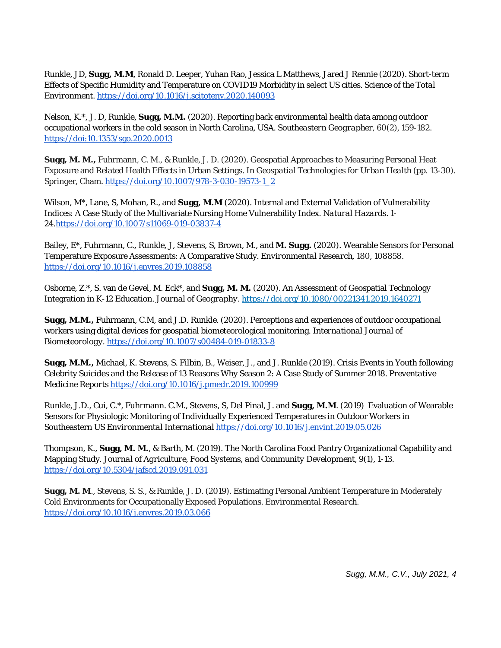Runkle, JD, **Sugg, M.M**, Ronald D. Leeper, Yuhan Rao, Jessica L Matthews, Jared J Rennie (2020). Short-term Effects of Specific Humidity and Temperature on COVID19 Morbidity in select US cities. *Science of the Total Environment.* <https://doi.org/10.1016/j.scitotenv.2020.140093>

Nelson, K.\*, J. D, Runkle, **Sugg, M.M.** (2020). Reporting back environmental health data among outdoor occupational workers in the cold season in North Carolina, USA. *Southeastern Geographer,* 60(2), 159-182. [https://doi:10.1353/sgo.2020.0013](about:blank)

**Sugg, M. M.,** Fuhrmann, C. M., & Runkle, J. D. (2020). Geospatial Approaches to Measuring Personal Heat Exposure and Related Health Effects in Urban Settings. In *Geospatial Technologies for Urban Health* (pp. 13-30). Springer, Cham[. https://doi.org/10.1007/978-3-030-19573-1\\_2](https://doi.org/10.1007/978-3-030-19573-1_2)

Wilson, M\*, Lane, S, Mohan, R., and **Sugg, M.M** (2020). Internal and External Validation of Vulnerability Indices: A Case Study of the Multivariate Nursing Home Vulnerability Index. *Natural Hazards.* 1- 24[.https://doi.org/10.1007/s11069-019-03837-4](https://doi.org/10.1007/s11069-019-03837-4)

Bailey, E\*, Fuhrmann, C., Runkle, J, Stevens, S, Brown, M., and **M. Sugg.** (2020). Wearable Sensors for Personal Temperature Exposure Assessments: A Comparative Study. *Environmental Research,* 180, 108858. <https://doi.org/10.1016/j.envres.2019.108858>

Osborne, Z.\*, S. van de Gevel, M. Eck\*, and **Sugg, M. M.** (2020). An Assessment of Geospatial Technology Integration in K-12 Education. *Journal of Geography*.<https://doi.org/10.1080/00221341.2019.1640271>

**Sugg, M.M.,** Fuhrmann, C.M, and J.D. Runkle. (2020). Perceptions and experiences of outdoor occupational workers using digital devices for geospatial biometeorological monitoring. *International Journal of Biometeorology.* <https://doi.org/10.1007/s00484-019-01833-8>

**Sugg, M.M.,** Michael, K. Stevens, S. Filbin, B., Weiser, J., and J. Runkle (2019). Crisis Events in Youth following Celebrity Suicides and the Release of 13 Reasons Why Season 2: A Case Study of Summer 2018. *Preventative Medicine Reports* <https://doi.org/10.1016/j.pmedr.2019.100999>

Runkle, J.D., Cui, C.\*, Fuhrmann. C.M., Stevens, S, Del Pinal, J. and **Sugg, M.M**. (2019) Evaluation of Wearable Sensors for Physiologic Monitoring of Individually Experienced Temperatures in Outdoor Workers in Southeastern US *Environmental International* <https://doi.org/10.1016/j.envint.2019.05.026>

Thompson, K., **Sugg, M. M.**, & Barth, M. (2019). The North Carolina Food Pantry Organizational Capability and Mapping Study. *Journal of Agriculture, Food Systems, and Community Development,* 9(1), 1-13. <https://doi.org/10.5304/jafscd.2019.091.031>

**Sugg, M. M**., Stevens, S. S., & Runkle, J. D. (2019). Estimating Personal Ambient Temperature in Moderately Cold Environments for Occupationally Exposed Populations. *Environmental Research.*  <https://doi.org/10.1016/j.envres.2019.03.066>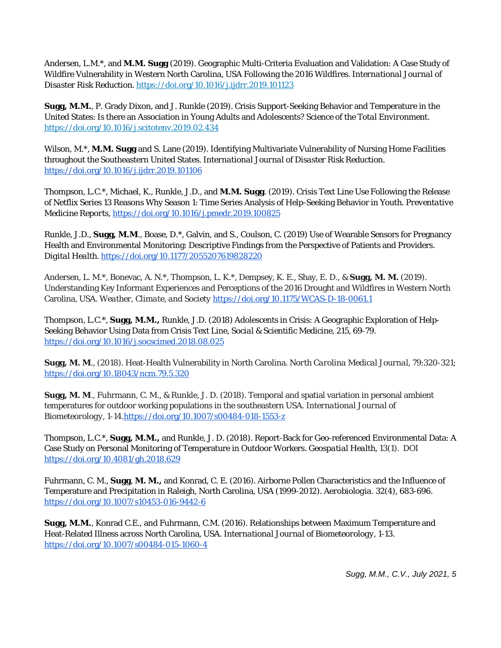Andersen, L.M.\*, and **M.M. Sugg** (2019). Geographic Multi-Criteria Evaluation and Validation: A Case Study of Wildfire Vulnerability in Western North Carolina, USA Following the 2016 Wildfires. *International Journal of Disaster Risk Reduction.* <https://doi.org/10.1016/j.ijdrr.2019.101123>

**Sugg, M.M.**, P. Grady Dixon, and J. Runkle (2019). Crisis Support-Seeking Behavior and Temperature in the United States: Is there an Association in Young Adults and Adolescents? S*cience of the Total Environment.*  <https://doi.org/10.1016/j.scitotenv.2019.02.434>

Wilson, M.\*, **M.M. Sugg** and S. Lane (2019). Identifying Multivariate Vulnerability of Nursing Home Facilities throughout the Southeastern United States. *International Journal of Disaster Risk Reduction.*  <https://doi.org/10.1016/j.ijdrr.2019.101106>

Thompson, L.C.\*, Michael, K., Runkle, J.D., and **M.M. Sugg**. (2019). Crisis Text Line Use Following the Release of Netflix Series 13 Reasons Why Season 1: Time Series Analysis of Help-Seeking Behavior in Youth. *Preventative Medicine Reports*[, https://doi.org/10.1016/j.pmedr.2019.100825](https://doi.org/10.1016/j.pmedr.2019.100825)

Runkle, J.D., **Sugg, M.M**., Boase, D.\*, Galvin, and S., Coulson, C. (2019) Use of Wearable Sensors for Pregnancy Health and Environmental Monitoring: Descriptive Findings from the Perspective of Patients and Providers. *Digital Health.* <https://doi.org/10.1177/2055207619828220>

Andersen, L. M.\*, Bonevac, A. N.\*, Thompson, L. K.\*, Dempsey, K. E., Shay, E. D., & **Sugg, M. M.** (2019). Understanding Key Informant Experiences and Perceptions of the 2016 Drought and Wildfires in Western North Carolina, USA. *Weather, Climate, and Society* <https://doi.org/10.1175/WCAS-D-18-0061.1>

Thompson, L.C.\*, **Sugg, M.M.,** Runkle, J.D. (2018) Adolescents in Crisis: A Geographic Exploration of Help-Seeking Behavior Using Data from Crisis Text Line, *Social & Scientific Medicine,* 215, 69-79. <https://doi.org/10.1016/j.socscimed.2018.08.025>

**Sugg, M. M**., (2018). Heat-Health Vulnerability in North Carolina. *North Carolina Medical Journal*, 79:320-321; <https://doi.org/10.18043/ncm.79.5.320>

**Sugg, M. M**., Fuhrmann, C. M., & Runkle, J. D. (2018). Temporal and spatial variation in personal ambient temperatures for outdoor working populations in the southeastern USA. *International Journal of Biometeorology*, 1-14[.https://doi.org/10.1007/s00484-018-1553-z](https://doi.org/10.1007/s00484-018-1553-z)

Thompson, L.C.\*, **Sugg, M.M.,** and Runkle, J. D. (2018). Report-Back for Geo-referenced Environmental Data: A Case Study on Personal Monitoring of Temperature in Outdoor Workers. *Geospatial Health, 13*(1). DOI <https://doi.org/10.4081/gh.2018.629>

Fuhrmann, C. M., **Sugg**, **M. M.,** and Konrad, C. E. (2016). Airborne Pollen Characteristics and the Influence of Temperature and Precipitation in Raleigh, North Carolina, USA (1999-2012). *Aerobiologia. 32*(4), 683-696. <https://doi.org/10.1007/s10453-016-9442-6>

**Sugg, M.M.**, Konrad C.E., and Fuhrmann, C.M. (2016). Relationships between Maximum Temperature and Heat-Related Illness across North Carolina, USA. *International Journal of Biometeorology,* 1-13. <https://doi.org/10.1007/s00484-015-1060-4>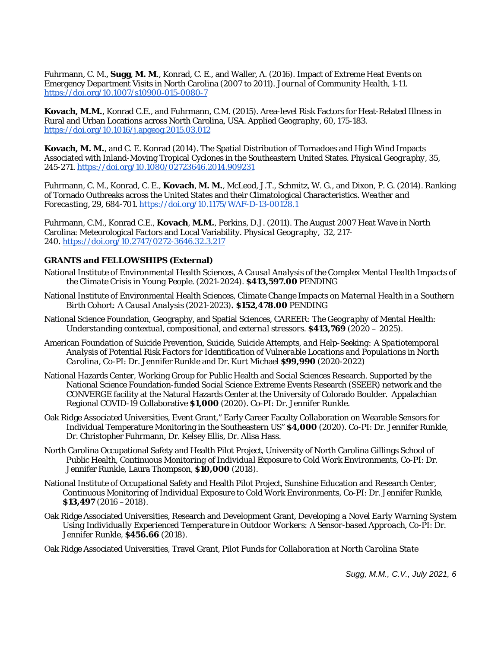Fuhrmann, C. M., **Sugg**, **M. M**., Konrad, C. E., and Waller, A. (2016). Impact of Extreme Heat Events on Emergency Department Visits in North Carolina (2007 to 2011). *Journal of Community Health,* 1-11. <https://doi.org/10.1007/s10900-015-0080-7>

**Kovach, M.M.**, Konrad C.E., and Fuhrmann, C.M. (2015). Area-level Risk Factors for Heat-Related Illness in Rural and Urban Locations across North Carolina, USA. *Applied Geography*, 60, 175-183. <https://doi.org/10.1016/j.apgeog.2015.03.012>

**Kovach, M. M.**, and C. E. Konrad (2014). The Spatial Distribution of Tornadoes and High Wind Impacts Associated with Inland-Moving Tropical Cyclones in the Southeastern United States. *Physical Geography*, 35, 245-271. <https://doi.org/10.1080/02723646.2014.909231>

Fuhrmann, C. M., Konrad, C. E., **Kovach**, **M. M.**, McLeod, J.T., Schmitz, W. G., and Dixon, P. G. (2014). Ranking of Tornado Outbreaks across the United States and their Climatological Characteristics. *Weather and Forecasting*, 29, 684-701.<https://doi.org/10.1175/WAF-D-13-00128.1>

Fuhrmann, C.M., Konrad C.E., **Kovach**, **M.M.**, Perkins, D.J. (2011). The August 2007 Heat Wave in North Carolina: Meteorological Factors and Local Variability. *Physical Geography*[, 32, 217-](http://www.sercc.com/Fuhrmann_et_al_Heat_Wave.pdf) [240.](http://www.sercc.com/Fuhrmann_et_al_Heat_Wave.pdf) <https://doi.org/10.2747/0272-3646.32.3.217>

#### **GRANTS and FELLOWSHIPS (External)**

- National Institute of Environmental Health Sciences, *A Causal Analysis of the Complex Mental Health Impacts of the Climate Crisis in Young People.* (2021-2024). **\$413,597.00** *PENDING*
- National Institute of Environmental Health Sciences, *Climate Change Impacts on Maternal Health in a Southern Birth Cohort: A Causal Analysis* (2021-2023)**. \$152,478.00** *PENDING*
- National Science Foundation, Geography, and Spatial Sciences*, CAREER: The Geography of Mental Health: Understanding contextual, compositional, and external stressors.* **\$413,769** (2020 – 2025).
- American Foundation of Suicide Prevention, *Suicide, Suicide Attempts, and Help-Seeking: A Spatiotemporal Analysis of Potential Risk Factors for Identification of Vulnerable Locations and Populations in North Carolina*, Co-PI: Dr. Jennifer Runkle and Dr. Kurt Michael **\$99,990** (2020-2022)
- National Hazards Center, Working Group for Public Health and Social Sciences Research. Supported by the National Science Foundation-funded Social Science Extreme Events Research (SSEER) network and the CONVERGE facility at the Natural Hazards Center at the University of Colorado Boulder. Appalachian Regional COVID-19 Collaborative **\$1,000** (2020). Co-PI: Dr. Jennifer Runkle.
- Oak Ridge Associated Universities, Event Grant," Early Career Faculty Collaboration on Wearable Sensors for Individual Temperature Monitoring in the Southeastern US" **\$4,000** (2020). Co-PI: Dr. Jennifer Runkle, Dr. Christopher Fuhrmann, Dr. Kelsey Ellis, Dr. Alisa Hass.
- North Carolina Occupational Safety and Health Pilot Project, University of North Carolina Gillings School of Public Health, *Continuous Monitoring of Individual Exposure to Cold Work Environments*, Co-PI: Dr. Jennifer Runkle, Laura Thompson, **\$10,000** (2018).
- National Institute of Occupational Safety and Health Pilot Project, Sunshine Education and Research Center, *Continuous Monitoring of Individual Exposure to Cold Work Environments*, Co-PI: Dr. Jennifer Runkle, **\$13,497** (2016 –2018).
- Oak Ridge Associated Universities, Research and Development Grant, *Developing a Novel Early Warning System Using Individually Experienced Temperature in Outdoor Workers: A Sensor-based Approach,* Co-PI: Dr. Jennifer Runkle, **\$456.66** (2018).

Oak Ridge Associated Universities*,* Travel Grant*, Pilot Funds for Collaboration at North Carolina State*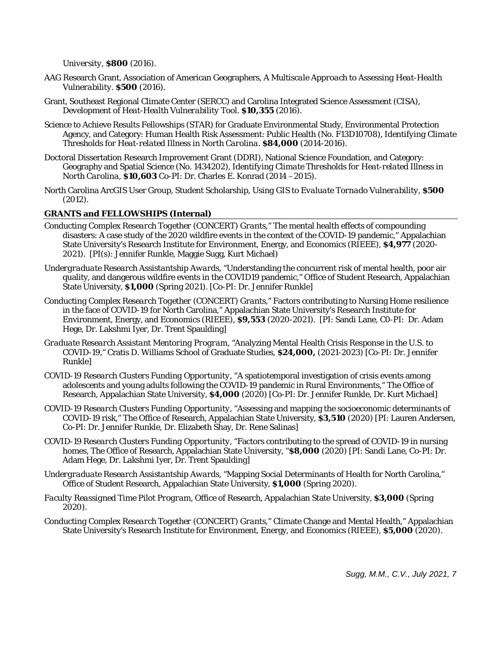*University,* **\$800** (2016).

- AAG Research Grant, Association of American Geographers, *A Multiscale Approach to Assessing Heat-Health Vulnerability*. **\$500** (2016).
- Grant*,* Southeast Regional Climate Center (SERCC) and Carolina Integrated Science Assessment (CISA), *Development of Heat-Health Vulnerability Tool.* **\$10,355** (2016).
- Science to Achieve Results Fellowships (STAR) for Graduate Environmental Study, Environmental Protection Agency, and Category: Human Health Risk Assessment: Public Health (No. F13D10708), *Identifying Climate Thresholds for Heat-related Illness in North Carolina.* **\$84,000** (2014-2016).
- Doctoral Dissertation Research Improvement Grant (DDRI), National Science Foundation, and Category: Geography and Spatial Science (No. 1434202), *Identifying Climate Thresholds for Heat-related Illness in North Carolina,* **\$10,603** Co-PI: Dr. Charles E. Konrad (2014 –2015).
- North Carolina ArcGIS User Group, Student Scholarship*, Using GIS to Evaluate Tornado Vulnerability,* **\$500** (2012).

# **GRANTS and FELLOWSHIPS (Internal)**

- *Conducting Complex Research Together (CONCERT) Grants,*" The mental health effects of compounding disasters: A case study of the 2020 wildfire events in the context of the COVID-19 pandemic," Appalachian State University's Research Institute for Environment, Energy, and Economics (RIEEE*)*, **\$4,977** (2020- 2021). [PI(s): Jennifer Runkle, Maggie Sugg, Kurt Michael)
- *Undergraduate Research Assistantship Awards,* "Understanding the concurrent risk of mental health, poor air quality, and dangerous wildfire events in the COVID19 pandemic," Office of Student Research, Appalachian State University, **\$1,000** (Spring 2021). [Co-PI: Dr. Jennifer Runkle]
- *Conducting Complex Research Together (CONCERT) Grants,*" Factors contributing to Nursing Home resilience in the face of COVID-19 for North Carolina," Appalachian State University's Research Institute for Environment, Energy, and Economics (RIEEE*)*, **\$9,553** (2020-2021). [PI: Sandi Lane, C0-PI: Dr. Adam Hege, Dr. Lakshmi Iyer, Dr. Trent Spaulding]
- *Graduate Research Assistant Mentoring Program, "*Analyzing Mental Health Crisis Response in the U.S. to COVID-19," Cratis D. Williams School of Graduate Studies, **\$24,000,** (2021-2023) [Co-PI: Dr. Jennifer Runkle]
- *COVID-19 Research Clusters Funding Opportunity,* "A spatiotemporal investigation of crisis events among adolescents and young adults following the COVID-19 pandemic in Rural Environments," The Office of Research, Appalachian State University, **\$4,000** (2020) [Co-PI: Dr. Jennifer Runkle, Dr. Kurt Michael]
- *COVID-19 Research Clusters Funding Opportunity,* "Assessing and mapping the socioeconomic determinants of COVID-19 risk," The Office of Research, Appalachian State University, **\$3,510** (2020) [PI: Lauren Andersen, Co-PI: Dr. Jennifer Runkle, Dr. Elizabeth Shay, Dr. Rene Salinas]
- *COVID-19 Research Clusters Funding Opportunity,* "Factors contributing to the spread of COVID-19 in nursing homes, The Office of Research, Appalachian State University, "**\$8,000** (2020) [PI: Sandi Lane, Co-PI: Dr. Adam Hege, Dr. Lakshmi Iyer, Dr. Trent Spaulding]
- *Undergraduate Research Assistantship Awards,* "Mapping Social Determinants of Health for North Carolina," Office of Student Research, Appalachian State University, **\$1,000** (Spring 2020).
- *Faculty Reassigned Time Pilot Program,* Office of Research, Appalachian State University, **\$3,000** (Spring 2020).
- *Conducting Complex Research Together (CONCERT) Grants,*" Climate Change and Mental Health," Appalachian State University's Research Institute for Environment, Energy, and Economics (RIEEE*)*, **\$5,000** (2020).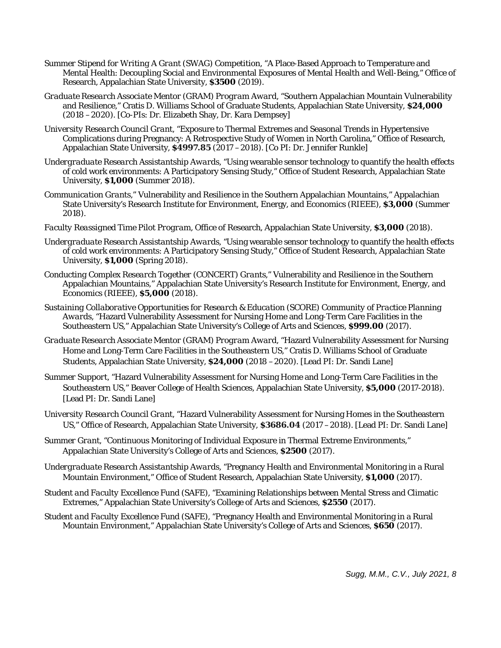- *Summer Stipend for Writing A Grant (SWAG) Competition,* "A Place-Based Approach to Temperature and Mental Health: Decoupling Social and Environmental Exposures of Mental Health and Well-Being," Office of Research, Appalachian State University, **\$3500** (2019).
- *Graduate Research Associate Mentor (GRAM) Program Award,* "Southern Appalachian Mountain Vulnerability and Resilience," Cratis D. Williams School of Graduate Students, Appalachian State University, **\$24,000**  (2018 –2020). [Co-PIs: Dr. Elizabeth Shay, Dr. Kara Dempsey]
- *University Research Council Grant,* "Exposure to Thermal Extremes and Seasonal Trends in Hypertensive Complications during Pregnancy: A Retrospective Study of Women in North Carolina," Office of Research, Appalachian State University, **\$4997.85** (2017 –2018). [Co PI: Dr. Jennifer Runkle]
- *Undergraduate Research Assistantship Awards,* "Using wearable sensor technology to quantify the health effects of cold work environments: A Participatory Sensing Study," Office of Student Research, Appalachian State University, **\$1,000** (Summer 2018).
- *Communication Grants,*" Vulnerability and Resilience in the Southern Appalachian Mountains," Appalachian State University's Research Institute for Environment, Energy, and Economics (RIEEE*)*, **\$3,000** (Summer 2018).
- *Faculty Reassigned Time Pilot Program,* Office of Research, Appalachian State University, **\$3,000** (2018).
- *Undergraduate Research Assistantship Awards, "*Using wearable sensor technology to quantify the health effects of cold work environments: A Participatory Sensing Study," Office of Student Research, Appalachian State University, **\$1,000** (Spring 2018).
- *Conducting Complex Research Together (CONCERT) Grants,*" Vulnerability and Resilience in the Southern Appalachian Mountains," Appalachian State University's Research Institute for Environment, Energy, and Economics (RIEEE*)*, **\$5,000** (2018).
- *Sustaining Collaborative Opportunities for Research & Education (SCORE) Community of Practice Planning Awards,* "Hazard Vulnerability Assessment for Nursing Home and Long-Term Care Facilities in the Southeastern US," Appalachian State University's College of Arts and Sciences, **\$999.00** (2017).
- *Graduate Research Associate Mentor (GRAM) Program Award,* "Hazard Vulnerability Assessment for Nursing Home and Long-Term Care Facilities in the Southeastern US," Cratis D. Williams School of Graduate Students, Appalachian State University, **\$24,000** (2018 –2020). [Lead PI: Dr. Sandi Lane]
- *Summer Support,* "Hazard Vulnerability Assessment for Nursing Home and Long-Term Care Facilities in the Southeastern US," Beaver College of Health Sciences, Appalachian State University, **\$5,000** (2017-2018). [Lead PI: Dr. Sandi Lane]
- *University Research Council Grant,* "Hazard Vulnerability Assessment for Nursing Homes in the Southeastern US," Office of Research, Appalachian State University, **\$3686.04** (2017 –2018). [Lead PI: Dr. Sandi Lane]
- *Summer Grant,* "Continuous Monitoring of Individual Exposure in Thermal Extreme Environments," Appalachian State University's College of Arts and Sciences, **\$2500** (2017).
- *Undergraduate Research Assistantship Awards,* "Pregnancy Health and Environmental Monitoring in a Rural Mountain Environment," Office of Student Research, Appalachian State University, **\$1,000** (2017).
- *Student and Faculty Excellence Fund (SAFE),* "Examining Relationships between Mental Stress and Climatic Extremes," Appalachian State University's College of Arts and Sciences, **\$2550** (2017).
- *Student and Faculty Excellence Fund (SAFE),* "Pregnancy Health and Environmental Monitoring in a Rural Mountain Environment," Appalachian State University's College of Arts and Sciences, **\$650** (2017).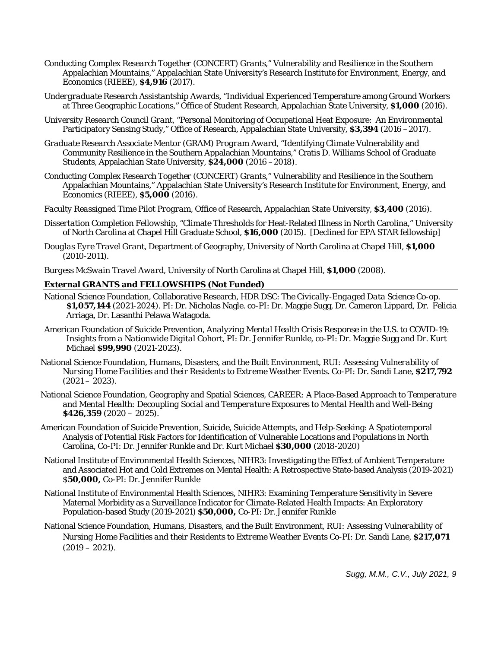- *Conducting Complex Research Together (CONCERT) Grants,*" Vulnerability and Resilience in the Southern Appalachian Mountains," Appalachian State University's Research Institute for Environment, Energy, and Economics (RIEEE*)*, **\$4,916** (2017).
- *Undergraduate Research Assistantship Awards,* "Individual Experienced Temperature among Ground Workers at Three Geographic Locations," Office of Student Research, Appalachian State University, **\$1,000** (2016).
- *University Research Council Grant,* "Personal Monitoring of Occupational Heat Exposure: An Environmental Participatory Sensing Study," Office of Research, Appalachian State University, **\$3,394** (2016 –2017).
- *Graduate Research Associate Mentor (GRAM) Program Award,* "Identifying Climate Vulnerability and Community Resilience in the Southern Appalachian Mountains," Cratis D. Williams School of Graduate Students, Appalachian State University, **\$24,000** (2016 –2018).
- *Conducting Complex Research Together (CONCERT) Grants,*" Vulnerability and Resilience in the Southern Appalachian Mountains," Appalachian State University's Research Institute for Environment, Energy, and Economics (RIEEE*)*, **\$5,000** (2016).
- *Faculty Reassigned Time Pilot Program,* Office of Research, Appalachian State University, **\$3,400** (2016).
- *Dissertation Completion Fellowship*, "Climate Thresholds for Heat-Related Illness in North Carolina," University of North Carolina at Chapel Hill Graduate School, **\$16,000** (2015). [Declined for EPA STAR fellowship]
- *Douglas Eyre Travel Grant*, Department of Geography, University of North Carolina at Chapel Hill, **\$1,000** (2010-2011).
- *Burgess McSwain Travel Award*, University of North Carolina at Chapel Hill, **\$1,000** (2008).

#### **External GRANTS and FELLOWSHIPS (Not Funded)**

- National Science Foundation, Collaborative Research, HDR DSC: *The Civically-Engaged Data Science Co-op.*  **\$1,057,144** (2021-2024). PI: Dr. Nicholas Nagle. co-PI: Dr. Maggie Sugg, Dr. Cameron Lippard, Dr. Felicia Arriaga, Dr. Lasanthi Pelawa Watagoda.
- American Foundation of Suicide Prevention, *Analyzing Mental Health Crisis Response in the U.S. to COVID-19: Insights from a Nationwide Digital Cohort*, PI: Dr. Jennifer Runkle, co-PI: Dr. Maggie Sugg and Dr. Kurt Michael **\$99,990** (2021-2023).
- National Science Foundation, Humans, Disasters, and the Built Environment*, RUI: Assessing Vulnerability of Nursing Home Facilities and their Residents to Extreme Weather Events.* Co-PI: Dr. Sandi Lane, **\$217,792**   $(2021 - 2023)$ .
- National Science Foundation, Geography and Spatial Sciences*, CAREER: A Place-Based Approach to Temperature and Mental Health: Decoupling Social and Temperature Exposures to Mental Health and Well-Being*  **\$426,359** (2020 – 2025).
- American Foundation of Suicide Prevention, Suicide, Suicide Attempts, and Help-Seeking: A Spatiotemporal Analysis of Potential Risk Factors for Identification of Vulnerable Locations and Populations in North Carolina, Co-PI: Dr. Jennifer Runkle and Dr. Kurt Michael **\$30,000** (2018-2020)
- National Institute of Environmental Health Sciences, NIHR3: Investigating the Effect of Ambient Temperature and Associated Hot and Cold Extremes on Mental Health: A Retrospective State-based Analysis (2019-2021) \$**50,000,** Co-PI: Dr. Jennifer Runkle
- National Institute of Environmental Health Sciences, NIHR3: Examining Temperature Sensitivity in Severe Maternal Morbidity as a Surveillance Indicator for Climate-Related Health Impacts: An Exploratory Population-based Study (2019-2021) **\$50,000,** Co-PI: Dr. Jennifer Runkle
- National Science Foundation, Humans, Disasters, and the Built Environment*, RUI: Assessing Vulnerability of Nursing Home Facilities and their Residents to Extreme Weather Events* Co-PI: Dr. Sandi Lane, **\$217,071**   $(2019 - 2021)$ .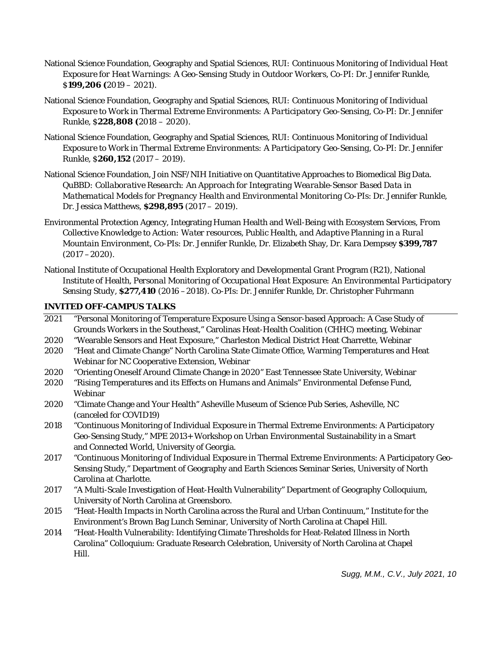- National Science Foundation, Geography and Spatial Sciences*, RUI: Continuous Monitoring of Individual Heat Exposure for Heat Warnings: A Geo-Sensing Study in Outdoor Workers,* Co-PI: Dr. Jennifer Runkle, \$**199,206 (**2019 – 2021).
- National Science Foundation, Geography and Spatial Sciences*, RUI: Continuous Monitoring of Individual Exposure to Work in Thermal Extreme Environments: A Participatory Geo-Sensing,* Co-PI: Dr. Jennifer Runkle, \$**228,808 (**2018 – 2020).
- National Science Foundation, Geography and Spatial Sciences*, RUI: Continuous Monitoring of Individual Exposure to Work in Thermal Extreme Environments: A Participatory Geo-Sensing,* Co-PI: Dr. Jennifer Runkle, \$**260,152** (2017 – 2019).
- National Science Foundation*,* Join NSF/NIH Initiative on Quantitative Approaches to Biomedical Big Data. *QuBBD: Collaborative Research: An Approach for Integrating Wearable-Sensor Based Data in Mathematical Models for Pregnancy Health and Environmental Monitoring* Co-PIs: Dr. Jennifer Runkle, Dr. Jessica Matthews, **\$298,895** (2017 – 2019).
- Environmental Protection Agency, Integrating Human Health and Well-Being with Ecosystem Services, *From Collective Knowledge to Action: Water resources, Public Health, and Adaptive Planning in a Rural Mountain Environment,* Co-PIs: Dr. Jennifer Runkle, Dr. Elizabeth Shay, Dr. Kara Dempsey **\$399,787**  (2017 –2020).
- National Institute of Occupational Health Exploratory and Developmental Grant Program (R21), National Institute of Health, *Personal Monitoring of Occupational Heat Exposure: An Environmental Participatory Sensing Study,* **\$277,410** (2016 –2018). Co-PIs: Dr. Jennifer Runkle, Dr. Christopher Fuhrmann

# **INVITED OFF-CAMPUS TALKS**

- 2021 "Personal Monitoring of Temperature Exposure Using a Sensor-based Approach: A Case Study of Grounds Workers in the Southeast," Carolinas Heat-Health Coalition (CHHC) meeting, Webinar
- 2020 "Wearable Sensors and Heat Exposure," Charleston Medical District Heat Charrette, Webinar
- 2020 "Heat and Climate Change" North Carolina State Climate Office, Warming Temperatures and Heat Webinar for NC Cooperative Extension, Webinar
- 2020 "Orienting Oneself Around Climate Change in 2020" East Tennessee State University, Webinar
- 2020 "Rising Temperatures and its Effects on Humans and Animals" Environmental Defense Fund, Webinar
- 2020 "Climate Change and Your Health" Asheville Museum of Science Pub Series, Asheville, NC (canceled for COVID19)
- 2018 "Continuous Monitoring of Individual Exposure in Thermal Extreme Environments: A Participatory Geo-Sensing Study," MPE 2013+ Workshop on Urban Environmental Sustainability in a Smart and Connected World, University of Georgia.
- 2017 "Continuous Monitoring of Individual Exposure in Thermal Extreme Environments: A Participatory Geo-Sensing Study," Department of Geography and Earth Sciences Seminar Series, University of North Carolina at Charlotte.
- 2017 "A Multi-Scale Investigation of Heat-Health Vulnerability" Department of Geography Colloquium, University of North Carolina at Greensboro.
- 2015 "Heat-Health Impacts in North Carolina across the Rural and Urban Continuum," Institute for the Environment's Brown Bag Lunch Seminar, University of North Carolina at Chapel Hill.
- 2014 "Heat-Health Vulnerability: Identifying Climate Thresholds for Heat-Related Illness in North Carolina" Colloquium: Graduate Research Celebration, University of North Carolina at Chapel Hill.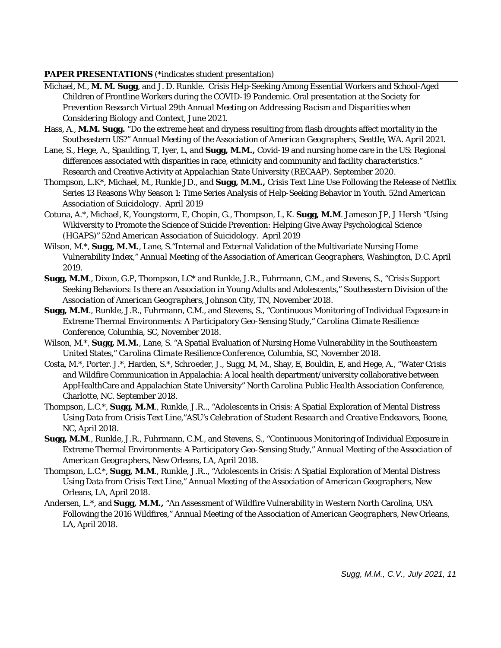## **PAPER PRESENTATIONS** (\*indicates student presentation)

- Michael, M., **M. M. Sugg**, and J. D. Runkle. Crisis Help-Seeking Among Essential Workers and School-Aged Children of Frontline Workers during the COVID-19 Pandemic. Oral presentation at the So*ciety for Prevention Research Virtual 29th Annual Meeting on Addressing Racism and Disparities when Considering Biology and Context*, June 2021.
- Hass, A., **M.M. Sugg.** "Do the extreme heat and dryness resulting from flash droughts affect mortality in the Southeastern US?" A*nnual Meeting of the Association of American Geographers,* Seattle, WA. April 2021.
- Lane, S., Hege, A., Spaulding, T, Iyer, L, and **Sugg, M.M.,** Covid-19 and nursing home care in the US: Regional differences associated with disparities in race, ethnicity and community and facility characteristics." Research and Creative Activity at Appalachian State University (RECAAP). September 2020.
- Thompson, L.K\*, Michael, M., Runkle JD., and **Sugg, M.M.,** Crisis Text Line Use Following the Release of Netflix Series 13 Reasons Why Season 1: Time Series Analysis of Help-Seeking Behavior in Youth. *52nd American Association of Suicidology.* April 2019
- Cotuna, A.\*, Michael, K, Youngstorm, E, Chopin, G., Thompson, L, K. **Sugg, M.M**. Jameson JP, J Hersh "Using Wikiversity to Promote the Science of Suicide Prevention: Helping Give Away Psychological Science (HGAPS)" *52nd American Association of Suicidology.* April 2019
- Wilson, M.\*, **Sugg, M.M.**, Lane, S."Internal and External Validation of the Multivariate Nursing Home Vulnerability Index," *Annual Meeting of the Association of American Geographers,* Washington, D.C. April 2019.
- **Sugg, M.M**., Dixon, G.P, Thompson, LC\* and Runkle, J.R., Fuhrmann, C.M., and Stevens, S., "Crisis Support Seeking Behaviors: Is there an Association in Young Adults and Adolescents," *Southeastern Division of the Association of American Geographers,* Johnson City, TN, November 2018.
- **Sugg, M.M**., Runkle, J.R., Fuhrmann, C.M., and Stevens, S., "Continuous Monitoring of Individual Exposure in Extreme Thermal Environments: A Participatory Geo-Sensing Study," *Carolina Climate Resilience Conference,* Columbia, SC, November 2018.
- Wilson, M.\*, **Sugg, M.M.**, Lane, S. "A Spatial Evaluation of Nursing Home Vulnerability in the Southeastern United States," *Carolina Climate Resilience Conference,* Columbia, SC, November 2018.
- Costa, M.\*, Porter. J.\*, Harden, S.\*, Schroeder, J., Sugg, M, M., Shay, E, Bouldin, E, and Hege, A., "Water Crisis and Wildfire Communication in Appalachia: A local health department/university collaborative between AppHealthCare and Appalachian State University" *North Carolina Public Health Association Conference*, Charlotte, NC. September 2018.
- Thompson, L.C.\*, **Sugg, M.M**., Runkle, J.R.., "Adolescents in Crisis: A Spatial Exploration of Mental Distress Using Data from Crisis Text Line,"*ASU's Celebration of Student Research and Creative Endeavors,* Boone, NC, April 2018.
- **Sugg, M.M**., Runkle, J.R., Fuhrmann, C.M., and Stevens, S., "Continuous Monitoring of Individual Exposure in Extreme Thermal Environments: A Participatory Geo-Sensing Study," *Annual Meeting of the Association of American Geographers,* New Orleans, LA, April 2018.
- Thompson, L.C.\*, **Sugg, M.M**., Runkle, J.R.., "Adolescents in Crisis: A Spatial Exploration of Mental Distress Using Data from Crisis Text Line," *Annual Meeting of the Association of American Geographers,* New Orleans, LA, April 2018.
- Andersen, L.\*, and **Sugg, M.M.,** "An Assessment of Wildfire Vulnerability in Western North Carolina, USA Following the 2016 Wildfires," *Annual Meeting of the Association of American Geographers,* New Orleans, LA, April 2018.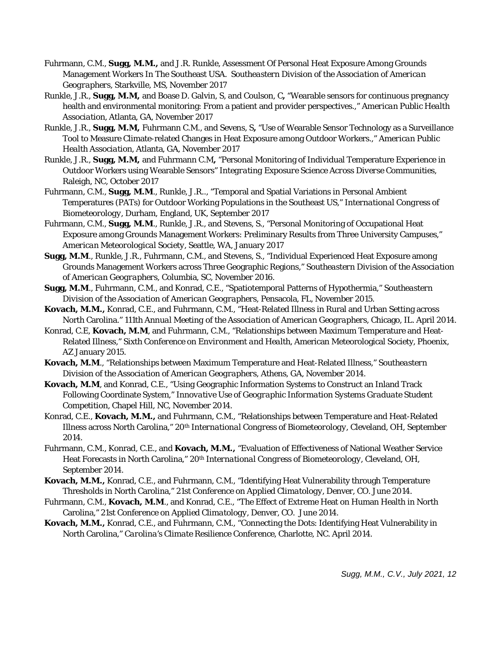- Fuhrmann, C.M., **Sugg, M.M.,** and J.R. Runkle, Assessment Of Personal Heat Exposure Among Grounds Management Workers In The Southeast USA. *Southeastern Division of the Association of American Geographers,* Starkville, MS, November 2017
- Runkle, J.R., **Sugg, M.M,** and Boase D. Galvin, S, and Coulson, C**,** "Wearable sensors for continuous pregnancy health and environmental monitoring: From a patient and provider perspectives.," *American Public Health Association,* Atlanta, GA, November 2017
- Runkle, J.R., **Sugg, M.M,** Fuhrmann C.M., and Sevens, S**,** "Use of Wearable Sensor Technology as a Surveillance Tool to Measure Climate-related Changes in Heat Exposure among Outdoor Workers.," *American Public Health Association,* Atlanta, GA, November 2017
- Runkle, J.R., **Sugg, M.M,** and Fuhrmann C.M**,** "Personal Monitoring of Individual Temperature Experience in Outdoor Workers using Wearable Sensors" *Integrating Exposure Science Across Diverse Communities,*  Raleigh, NC, October 2017
- Fuhrmann, C.M., **Sugg, M.M**., Runkle, J.R.., "Temporal and Spatial Variations in Personal Ambient Temperatures (PATs) for Outdoor Working Populations in the Southeast US," *International Congress of Biometeorology,* Durham, England, UK, September 2017
- Fuhrmann, C.M., **Sugg, M.M**., Runkle, J.R., and Stevens, S., "Personal Monitoring of Occupational Heat Exposure among Grounds Management Workers: Preliminary Results from Three University Campuses," *American Meteorological Society,* Seattle, WA, January 2017
- **Sugg, M.M**., Runkle, J.R., Fuhrmann, C.M., and Stevens, S., "Individual Experienced Heat Exposure among Grounds Management Workers across Three Geographic Regions," *Southeastern Division of the Association of American Geographers,* Columbia, SC, November 2016.
- **Sugg, M.M**., Fuhrmann, C.M., and Konrad, C.E., "Spatiotemporal Patterns of Hypothermia," *Southeastern Division of the Association of American Geographers,* Pensacola, FL, November 2015.
- **Kovach, M.M.,** Konrad, C.E., and Fuhrmann, C.M., "Heat-Related Illness in Rural and Urban Setting across North Carolina." *111th Annual Meeting of the Association of American Geographers,* Chicago, IL. April 2014.
- Konrad, C.E, **Kovach, M.M**, and Fuhrmann, C.M., "Relationships between Maximum Temperature and Heat-Related Illness," *Sixth Conference on Environment and Health,* American Meteorological Society*,* Phoenix, AZ January 2015.
- **Kovach, M.M**., "Relationships between Maximum Temperature and Heat-Related Illness," *Southeastern Division of the Association of American Geographers,* Athens, GA, November 2014.
- **Kovach, M.M**, and Konrad, C.E., "Using Geographic Information Systems to Construct an Inland Track Following Coordinate System," *Innovative Use of Geographic Information Systems Graduate Student Competition,* Chapel Hill, NC, November 2014.
- Konrad, C.E., **Kovach, M.M.,** and Fuhrmann, C.M., "Relationships between Temperature and Heat-Related Illness across North Carolina," *20th International Congress of Biometeorology,* Cleveland, OH, September 2014.
- Fuhrmann, C.M., Konrad, C.E., and **Kovach, M.M.,** "Evaluation of Effectiveness of National Weather Service Heat Forecasts in North Carolina," *20th International Congress of Biometeorology,* Cleveland, OH, September 2014.
- **Kovach, M.M.,** Konrad, C.E., and Fuhrmann, C.M., "Identifying Heat Vulnerability through Temperature Thresholds in North Carolina," *21st Conference on Applied Climatology*, Denver, CO. June 2014.
- Fuhrmann, C.M., **Kovach, M.M**., and Konrad, C.E., "The Effect of Extreme Heat on Human Health in North Carolina*," 21st Conference on Applied Climatology*, Denver, CO. June 2014.
- **Kovach, M.M.,** Konrad, C.E., and Fuhrmann, C.M., "Connecting the Dots: Identifying Heat Vulnerability in North Carolina," *Carolina's Climate Resilience Conference*, Charlotte, NC. April 2014.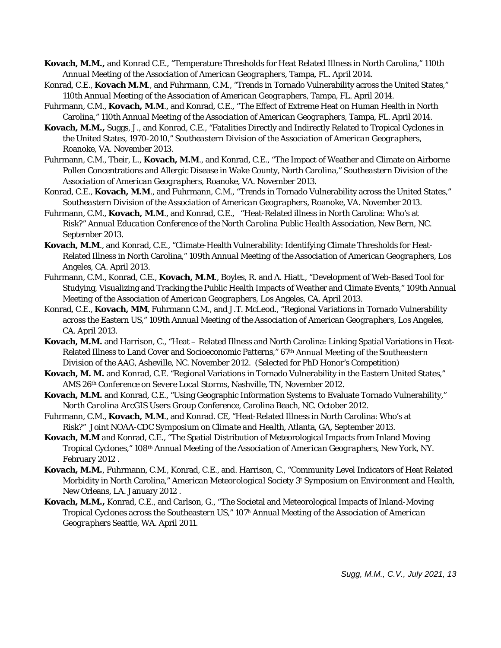- **Kovach, M.M.,** and Konrad C.E., "Temperature Thresholds for Heat Related Illness in North Carolina," *110th Annual Meeting of the Association of American Geographers,* Tampa, FL. April 2014.
- Konrad, C.E., **Kovach M.M**., and Fuhrmann, C.M., "Trends in Tornado Vulnerability across the United States," *110th Annual Meeting of the Association of American Geographers,* Tampa, FL. April 2014.
- Fuhrmann, C.M., **Kovach, M.M**., and Konrad, C.E., "The Effect of Extreme Heat on Human Health in North Carolina," *110th Annual Meeting of the Association of American Geographers,* Tampa, FL. April 2014.
- **Kovach, M.M.,** Suggs, J., and Konrad, C.E., "Fatalities Directly and Indirectly Related to Tropical Cyclones in the United States, 1970-2010," *Southeastern Division of the Association of American Geographers*, Roanoke, VA. November 2013.
- Fuhrmann, C.M., Their, L., **Kovach, M.M**., and Konrad, C.E., "The Impact of Weather and Climate on Airborne Pollen Concentrations and Allergic Disease in Wake County, North Carolina," *Southeastern Division of the Association of American Geographers*, Roanoke, VA. November 2013.
- Konrad, C.E., **Kovach, M.M**., and Fuhrmann, C.M., "Trends in Tornado Vulnerability across the United States," *Southeastern Division of the Association of American Geographers*, Roanoke, VA. November 2013.
- Fuhrmann, C.M., **Kovach, M.M**., and Konrad, C.E., ["Heat-Related illness in North Carolina: Who's at](http://www.sercc.com/Fuhrmann_NCPHA_20Sept2012.pdf)  [Risk?"](http://www.sercc.com/Fuhrmann_NCPHA_20Sept2012.pdf) *[Annual Education Conference of the North Carolina Public Health Association](http://www.sercc.com/Fuhrmann_NCPHA_20Sept2012.pdf)*[, New Bern, NC.](http://www.sercc.com/Fuhrmann_NCPHA_20Sept2012.pdf)  [September 2013.](http://www.sercc.com/Fuhrmann_NCPHA_20Sept2012.pdf)
- **Kovach, M.M**., and Konrad, C.E., "Climate-Health Vulnerability: Identifying Climate Thresholds for Heat-Related Illness in North Carolina," *109th Annual Meeting of the Association of American Geographers,* Los Angeles, CA. April 2013.
- Fuhrmann, C.M., Konrad, C.E., **Kovach, M.M**., Boyles, R. and A. Hiatt., "Development of Web-Based Tool for Studying, Visualizing and Tracking the Public Health Impacts of Weather and Climate Events," *109th Annual Meeting of the Association of American Geographers,* Los Angeles, CA. April 2013.
- Konrad, C.E., **Kovach, MM**, Fuhrmann C.M., and J.T. McLeod., "Regional Variations in Tornado Vulnerability across the Eastern US," *109th Annual Meeting of the Association of American Geographers,* Los Angeles, CA. April 2013.
- **Kovach, M.M.** and Harrison, C., "Heat Related Illness and North Carolina: Linking Spatial Variations in Heat-Related Illness to Land Cover and Socioeconomic Patterns," *67th Annual Meeting of the Southeastern Division of the AAG,* Asheville, NC. November 2012. (Selected for PhD Honor's Competition)
- **Kovach, M. M.** and Konrad, C.E. "Regional Variations in Tornado Vulnerability in the Eastern United States," *AMS 26th Conference on Severe Local Storms,* Nashville, TN, November 2012.
- **Kovach, M.M.** and Konrad, C.E., "Using Geographic Information Systems to Evaluate Tornado Vulnerability," *North Carolina ArcGIS Users Group Conference*, Carolina Beach, NC. October 2012.
- [Fuhrmann, C.M.,](http://www.sercc.com/Fuhrmann_NCPHA_20Sept2012.pdf) **[Kovach, M.M](http://www.sercc.com/Fuhrmann_NCPHA_20Sept2012.pdf)**[., and Konrad. CE, "Heat-Related Illness in North Carolina: Who's at](http://www.sercc.com/Fuhrmann_NCPHA_20Sept2012.pdf)  [Risk?"](http://www.sercc.com/Fuhrmann_NCPHA_20Sept2012.pdf) *[Joint NOAA-CDC Symposium on Climate and Health](http://www.sercc.com/Fuhrmann_NCPHA_20Sept2012.pdf)*[, Atlanta, GA, September 2013.](http://www.sercc.com/Fuhrmann_NCPHA_20Sept2012.pdf)
- **[Kovach, M.M](http://www.sercc.com/FINAL_AAG_2012_2.pdf)** [and Konrad, C.E., "The Spatial Distribution of Meteorological Impacts from Inland Moving](http://www.sercc.com/FINAL_AAG_2012_2.pdf)  [Tropical Cyclones,"](http://www.sercc.com/FINAL_AAG_2012_2.pdf) *[108th](http://www.sercc.com/FINAL_AAG_2012_2.pdf) [Annual Meeting of the Association of American Geographers](http://www.sercc.com/FINAL_AAG_2012_2.pdf)*[, New York, NY.](http://www.sercc.com/FINAL_AAG_2012_2.pdf)  [February 2012](http://www.sercc.com/FINAL_AAG_2012_2.pdf) .
- **[Kovach, M.M.](http://www.sercc.com/AMS_CommunityLevel_Heat.pptx)**[, Fuhrmann, C.M., Konrad, C.E., and. Harrison, C., "Community Level Indicators of Heat Related](http://www.sercc.com/AMS_CommunityLevel_Heat.pptx)  [Morbidity in North Carolina,"](http://www.sercc.com/AMS_CommunityLevel_Heat.pptx) *[American Meteorological Society 3t](http://www.sercc.com/AMS_CommunityLevel_Heat.pptx) [Symposium on Environment and Health](http://www.sercc.com/AMS_CommunityLevel_Heat.pptx)*[,](http://www.sercc.com/AMS_CommunityLevel_Heat.pptx)  [New Orleans, LA. January 2012](http://www.sercc.com/AMS_CommunityLevel_Heat.pptx) .
- **Kovach, M.M.,** Konrad, C.E., and Carlson, G., "The Societal and Meteorological Impacts of Inland-Moving Tropical Cyclones across the Southeastern US," *107h Annual Meeting of the Association of American Geographers* Seattle, WA. April 2011.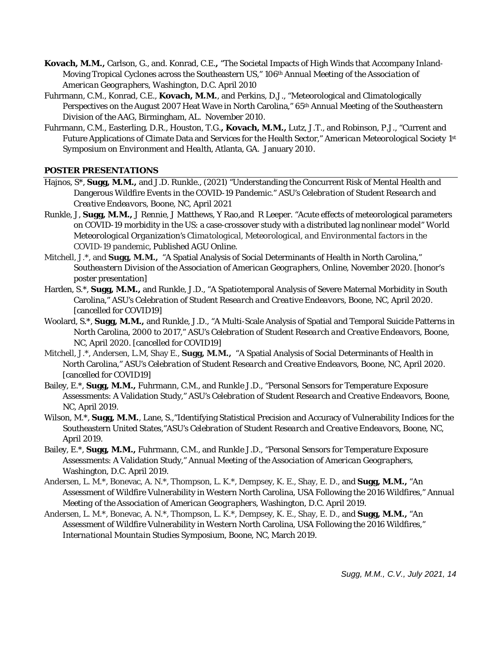- **Kovach, M.M.,** Carlson, G., and. Konrad, C.E.**,** "The Societal Impacts of High Winds that Accompany Inland-Moving Tropical Cyclones across the Southeastern US," *106th Annual Meeting of the Association of American Geographers,* Washington, D.C. April 2010
- Fuhrmann, C.M., Konrad, C.E., **Kovach, M.M.**, and Perkins, D.J., "Meteorological and Climatologically Perspectives on the August 2007 Heat Wave in North Carolina," *65th Annual Meeting of the Southeastern Division of the AAG*, Birmingham, AL. November 2010.
- Fuhrmann, C.M., Easterling, D.R., Houston, T.G.**, Kovach, M.M.,** Lutz, J.T., and Robinson, P.J., "Current and Future Applications of Climate Data and Services for the Health Sector," *American Meteorological Society 1st Symposium on Environment and Health*, Atlanta, GA. January 2010.

# **POSTER PRESENTATIONS**

- Hajnos, S\*, **Sugg, M.M.,** and J.D. Runkle., (2021) "Understanding the Concurrent Risk of Mental Health and Dangerous Wildfire Events in the COVID-19 Pandemic." *ASU's Celebration of Student Research and Creative Endeavors,* Boone, NC, April 2021
- Runkle, J, **Sugg, M.M.,** J Rennie, J Matthews, Y Rao,and R Leeper. "Acute effects of meteorological parameters on COVID-19 morbidity in the US: a case-crossover study with a distributed lag nonlinear model" *World Meteorological Organization's Climatological, Meteorological, and Environmental factors in the COVID-19 pandemic,* Published AGU Online.
- Mitchell, J.\*, and **Sugg, M.M.,** "A Spatial Analysis of Social Determinants of Health in North Carolina," *Southeastern Division of the Association of American Geographers,* Online, November 2020. [honor's poster presentation]
- Harden, S.\*, **Sugg, M.M.,** and Runkle, J.D., "A Spatiotemporal Analysis of Severe Maternal Morbidity in South Carolina," *ASU's Celebration of Student Research and Creative Endeavors,* Boone, NC, April 2020. [cancelled for COVID19]
- Woolard, S.\*, **Sugg, M.M.,** and Runkle, J.D., "A Multi-Scale Analysis of Spatial and Temporal Suicide Patterns in North Carolina, 2000 to 2017," *ASU's Celebration of Student Research and Creative Endeavors,* Boone, NC, April 2020. [cancelled for COVID19]
- Mitchell, J.\*, Andersen, L.M, Shay E., **Sugg, M.M.,** "A Spatial Analysis of Social Determinants of Health in North Carolina," *ASU's Celebration of Student Research and Creative Endeavors,* Boone, NC, April 2020. [cancelled for COVID19]
- Bailey, E.\*, **Sugg, M.M.,** Fuhrmann, C.M., and Runkle J.D., "Personal Sensors for Temperature Exposure Assessments: A Validation Study," *ASU's Celebration of Student Research and Creative Endeavors,* Boone, NC, April 2019.
- Wilson, M.\*, **Sugg, M.M.**, Lane, S.,"Identifying Statistical Precision and Accuracy of Vulnerability Indices for the Southeastern United States,"*ASU's Celebration of Student Research and Creative Endeavors,* Boone, NC, April 2019.
- Bailey, E.\*, **Sugg, M.M.,** Fuhrmann, C.M., and Runkle J.D., "Personal Sensors for Temperature Exposure Assessments: A Validation Study," *Annual Meeting of the Association of American Geographers,*  Washington, D.C. April 2019.
- Andersen, L. M.\*, Bonevac, A. N.\*, Thompson, L. K.\*, Dempsey, K. E., Shay, E. D., and **Sugg, M.M.,** "An Assessment of Wildfire Vulnerability in Western North Carolina, USA Following the 2016 Wildfires," *Annual Meeting of the Association of American Geographers,* Washington, D.C. April 2019.
- Andersen, L. M.\*, Bonevac, A. N.\*, Thompson, L. K.\*, Dempsey, K. E., Shay, E. D., and **Sugg, M.M.,** "An Assessment of Wildfire Vulnerability in Western North Carolina, USA Following the 2016 Wildfires," *International Mountain Studies Symposium,* Boone, NC, March 2019.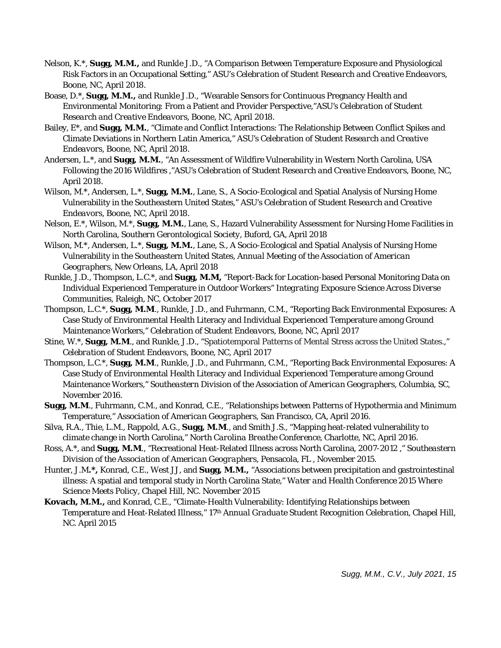- Nelson, K.\*, **Sugg, M.M.,** and Runkle J.D., "A Comparison Between Temperature Exposure and Physiological Risk Factors in an Occupational Setting," ASU's *Celebration of Student Research and Creative Endeavors,*  Boone, NC, April 2018.
- Boase, D.\*, **Sugg, M.M.,** and Runkle J.D., "Wearable Sensors for Continuous Pregnancy Health and Environmental Monitoring: From a Patient and Provider Perspective,"*ASU's Celebration of Student Research and Creative Endeavors,* Boone, NC, April 2018.
- Bailey, E\*, and **Sugg, M.M.**, "Climate and Conflict Interactions: The Relationship Between Conflict Spikes and Climate Deviations in Northern Latin America," *ASU's Celebration of Student Research and Creative Endeavors,* Boone, NC, April 2018.
- Andersen, L.\*, and **Sugg, M.M.**, "An Assessment of Wildfire Vulnerability in Western North Carolina, USA Following the 2016 Wildfires ,"*ASU's Celebration of Student Research and Creative Endeavors,* Boone, NC, April 2018.
- Wilson, M.\*, Andersen, L.\*, **Sugg, M.M.**, Lane, S., A Socio-Ecological and Spatial Analysis of Nursing Home Vulnerability in the Southeastern United States," *ASU's Celebration of Student Research and Creative Endeavors,* Boone, NC, April 2018.
- Nelson, E.\*, Wilson, M.\*, **Sugg, M.M.**, Lane, S., Hazard Vulnerability Assessment for Nursing Home Facilities in North Carolina, *Southern Gerontological Society,* Buford, GA, April 2018
- Wilson, M.\*, Andersen, L.\*, **Sugg, M.M.**, Lane, S., A Socio-Ecological and Spatial Analysis of Nursing Home Vulnerability in the Southeastern United States, *Annual Meeting of the Association of American Geographers,* New Orleans, LA, April 2018
- Runkle, J.D., Thompson, L.C.\*, and **Sugg, M.M,** "Report-Back for Location-based Personal Monitoring Data on Individual Experienced Temperature in Outdoor Workers" *Integrating Exposure Science Across Diverse Communities,* Raleigh, NC, October 2017
- Thompson, L.C.\*, **Sugg, M.M**., Runkle, J.D., and Fuhrmann, C.M., "Reporting Back Environmental Exposures: A Case Study of Environmental Health Literacy and Individual Experienced Temperature among Ground Maintenance Workers," *Celebration of Student Endeavors,* Boone, NC, April 2017
- Stine, W.\*, Sugg, M.M., and Runkle, J.D., "Spatiotemporal Patterns of Mental Stress across the United States.," *Celebration of Student Endeavors,* Boone, NC, April 2017
- Thompson, L.C.\*, **Sugg, M.M**., Runkle, J.D., and Fuhrmann, C.M., "Reporting Back Environmental Exposures: A Case Study of Environmental Health Literacy and Individual Experienced Temperature among Ground Maintenance Workers," *Southeastern Division of the Association of American Geographers,* Columbia, SC, November 2016.
- **Sugg, M.M**., Fuhrmann, C.M., and Konrad, C.E., "Relationships between Patterns of Hypothermia and Minimum Temperature," *Association of American Geographers,* San Francisco, CA, April 2016.
- Silva, R.A., Thie, L.M., Rappold, A.G., **Sugg, M.M**., and Smith J.S., "Mapping heat-related vulnerability to climate change in North Carolina," *North Carolina Breathe Conference,* Charlotte, NC, April 2016.
- Ross, A.\*, and **Sugg, M.M**., "Recreational Heat-Related Illness across North Carolina, 2007-2012 ," *Southeastern Division of the Association of American Geographers,* Pensacola, FL , November 2015.
- Hunter, J.M**.\*,** Konrad, C.E., West JJ, and **Sugg, M.M.,** "Associations between precipitation and gastrointestinal illness: A spatial and temporal study in North Carolina State," *Water and Health Conference 2015 Where Science Meets Policy*, Chapel Hill, NC. November 2015
- **Kovach, M.M.,** and Konrad, C.E., "Climate-Health Vulnerability: Identifying Relationships between Temperature and Heat-Related Illness," *17th Annual Graduate Student Recognition Celebration*, Chapel Hill, NC. April 2015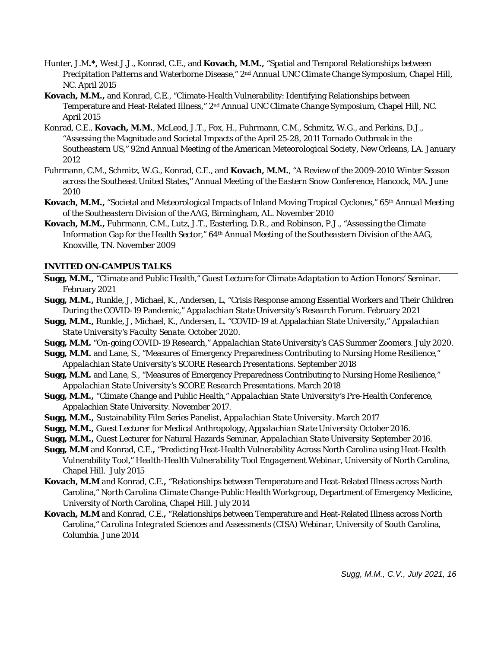- Hunter, J.M**.\*,** West J.J., Konrad, C.E., and **Kovach, M.M.,** "Spatial and Temporal Relationships between Precipitation Patterns and Waterborne Disease," *2nd Annual UNC Climate Change Symposium*, Chapel Hill, NC. April 2015
- **Kovach, M.M.,** and Konrad, C.E., "Climate-Health Vulnerability: Identifying Relationships between Temperature and Heat-Related Illness," *2nd Annual UNC Climate Change Symposium*, Chapel Hill, NC. April 2015
- [Konrad, C.E.,](http://www.sercc.com/AMS%202012%20Tornado%20Poster.pdf) **[Kovach, M.M.](http://www.sercc.com/AMS%202012%20Tornado%20Poster.pdf)**[, McLeod, J.T., Fox, H., Fuhrmann, C.M., Schmitz, W.G., and Perkins, D.J.,](http://www.sercc.com/AMS%202012%20Tornado%20Poster.pdf)  ["Assessing the Magnitude and Societal Impacts of the April 25-28, 2011 Tornado Outbreak in the](http://www.sercc.com/AMS%202012%20Tornado%20Poster.pdf)  [Southeastern US,"](http://www.sercc.com/AMS%202012%20Tornado%20Poster.pdf) *[92nd Annual Meeting of the American Meteorological Society](http://www.sercc.com/AMS%202012%20Tornado%20Poster.pdf)*[, New Orleans, LA. January](http://www.sercc.com/AMS%202012%20Tornado%20Poster.pdf)  [2012](http://www.sercc.com/AMS%202012%20Tornado%20Poster.pdf)
- Fuhrmann, C.M., Schmitz, W.G., Konrad, C.E., and **Kovach, M.M.**, "A Review of the 2009-2010 Winter Season across the Southeast United States," *Annual Meeting of the Eastern Snow Conference,* Hancock, MA. June 2010
- **Kovach, M.M.,** "Societal and Meteorological Impacts of Inland Moving Tropical Cyclones," *65th Annual Meeting of the Southeastern Division of the AAG*, Birmingham, AL. November 2010
- **Kovach, M.M.,** Fuhrmann, C.M., Lutz, J.T., Easterling, D.R., and Robinson, P.J., "Assessing the Climate Information Gap for the Health Sector," *64th Annual Meeting of the Southeastern Division of the AAG*, Knoxville, TN. November 2009

### **INVITED ON-CAMPUS TALKS**

- **Sugg, M.M.,** "Climate and Public Health," Guest Lecture for *Climate Adaptation to Action Honors' Seminar.* February 2021
- **Sugg, M.M.,** Runkle, J, Michael, K., Andersen, L, "Crisis Response among Essential Workers and Their Children During the COVID-19 Pandemic," *Appalachian State University's Research Forum.* February 2021
- **Sugg, M.M.,** Runkle, J, Michael, K., Andersen, L. "COVID-19 at Appalachian State University," *Appalachian State University's Faculty Senate.* October 2020.
- **Sugg, M.M.** "On-going COVID-19 Research," *Appalachian State University's CAS Summer Zoomers.* July 2020.
- **Sugg, M.M.** and Lane, S., "Measures of Emergency Preparedness Contributing to Nursing Home Resilience," *Appalachian State University's SCORE Research Presentations.* September 2018
- **Sugg, M.M.** and Lane, S., "Measures of Emergency Preparedness Contributing to Nursing Home Resilience," *Appalachian State University's SCORE Research Presentations.* March 2018
- **Sugg, M.M.,** "Climate Change and Public Health," *Appalachian State University's Pre-Health Conference,*  Appalachian State University. November 2017.
- **Sugg, M.M.,** Sustainability Film Series Panelist, *Appalachian State University*. March 2017
- **Sugg, M.M.,** Guest Lecturer for Medical Anthropology, *Appalachian State University* October 2016.
- **Sugg, M.M.,** Guest Lecturer for Natural Hazards Seminar, *Appalachian State University* September 2016.
- **Sugg, M.M** and Konrad, C.E.**,** "Predicting Heat-Health Vulnerability Across North Carolina using Heat-Health Vulnerability Tool," *Health-Health Vulnerability Tool Engagement Webinar*, University of North Carolina, Chapel Hill. July 2015
- **Kovach, M.M** and Konrad, C.E.**,** "Relationships between Temperature and Heat-Related Illness across North Carolina," *North Carolina Climate Change-Public Health Workgroup*, Department of Emergency Medicine, University of North Carolina, Chapel Hill. July 2014
- **Kovach, M.M** and Konrad, C.E.**,** "Relationships between Temperature and Heat-Related Illness across North Carolina," *Carolina Integrated Sciences and Assessments (CISA) Webinar*, University of South Carolina, Columbia. June 2014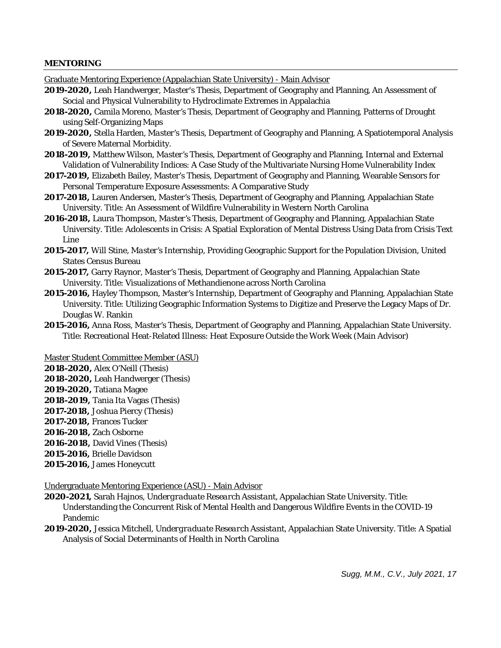#### **MENTORING**

Graduate Mentoring Experience (Appalachian State University) - Main Advisor

- **2019-2020,** Leah Handwerger, *Master's Thesis,* Department of Geography and Planning, An Assessment of Social and Physical Vulnerability to Hydroclimate Extremes in Appalachia
- **2018-2020,** Camila Moreno, *Master's Thesis,* Department of Geography and Planning, Patterns of Drought using Self-Organizing Maps
- **2019-2020,** Stella Harden, *Master's Thesis,* Department of Geography and Planning, A Spatiotemporal Analysis of Severe Maternal Morbidity.
- **2018-2019,** Matthew Wilson, *Master's Thesis,* Department of Geography and Planning, Internal and External Validation of Vulnerability Indices: A Case Study of the Multivariate Nursing Home Vulnerability Index
- **2017-2019,** Elizabeth Bailey, Master's *Thesis,* Department of Geography and Planning, Wearable Sensors for Personal Temperature Exposure Assessments: A Comparative Study
- **2017-2018,** Lauren Andersen, *Master's Thesis,* Department of Geography and Planning, Appalachian State University. Title: An Assessment of Wildfire Vulnerability in Western North Carolina
- **2016-2018,** Laura Thompson, *Master's Thesis,* Department of Geography and Planning, Appalachian State University. Title: Adolescents in Crisis: A Spatial Exploration of Mental Distress Using Data from Crisis Text Line
- **2015-2017,** Will Stine, *Master's Internship,* Providing Geographic Support for the Population Division, United States Census Bureau
- **2015-2017,** Garry Raynor, *Master's Thesis,* Department of Geography and Planning, Appalachian State University. Title: Visualizations of Methandienone across North Carolina
- **2015-2016,** Hayley Thompson, *Master's Internship,* Department of Geography and Planning, Appalachian State University. Title: Utilizing Geographic Information Systems to Digitize and Preserve the Legacy Maps of Dr. Douglas W. Rankin
- **2015-2016,** Anna Ross, *Master's Thesis,* Department of Geography and Planning, Appalachian State University. Title: Recreational Heat-Related Illness: Heat Exposure Outside the Work Week (Main Advisor)

Master Student Committee Member (ASU)

- **2018-2020,** Alex O'Neill (Thesis)
- **2018-2020,** Leah Handwerger (Thesis)
- **2019-2020,** Tatiana Magee
- **2018-2019,** Tania Ita Vagas (Thesis)
- **2017-2018,** Joshua Piercy (Thesis)
- **2017-2018,** Frances Tucker
- **2016-2018,** Zach Osborne
- **2016-2018,** David Vines (Thesis)
- **2015-2016,** Brielle Davidson
- **2015-2016,** James Honeycutt

Undergraduate Mentoring Experience (ASU) - Main Advisor

- **2020-2021,** Sarah Hajnos, *Undergraduate Research Assistant,* Appalachian State University. Title: Understanding the Concurrent Risk of Mental Health and Dangerous Wildfire Events in the COVID-19 Pandemic
- **2019-2020,** Jessica Mitchell, *Undergraduate Research Assistant,* Appalachian State University. Title: A Spatial Analysis of Social Determinants of Health in North Carolina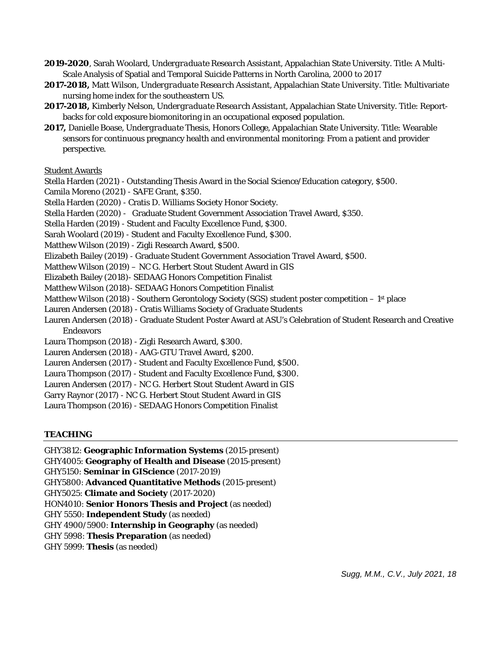**2019-2020**, Sarah Woolard, *Undergraduate Research Assistant,* Appalachian State University. Title: A Multi-Scale Analysis of Spatial and Temporal Suicide Patterns in North Carolina, 2000 to 2017

**2017-2018,** Matt Wilson, *Undergraduate Research Assistant,* Appalachian State University. Title: Multivariate nursing home index for the southeastern US.

- **2017-2018,** Kimberly Nelson, *Undergraduate Research Assistant,* Appalachian State University. Title: Reportbacks for cold exposure biomonitoring in an occupational exposed population.
- **2017,** Danielle Boase, *Undergraduate Thesis,* Honors College, Appalachian State University. Title: Wearable sensors for continuous pregnancy health and environmental monitoring: From a patient and provider perspective.

### Student Awards

Stella Harden (2021) - Outstanding Thesis Award in the Social Science/Education category, \$500.

Camila Moreno (2021) - SAFE Grant, \$350.

Stella Harden (2020) - Cratis D. Williams Society Honor Society.

Stella Harden (2020) - Graduate Student Government Association Travel Award, \$350.

Stella Harden (2019) - Student and Faculty Excellence Fund, \$300.

Sarah Woolard (2019) - Student and Faculty Excellence Fund, \$300.

Matthew Wilson (2019) - Zigli Research Award, \$500.

Elizabeth Bailey (2019) - Graduate Student Government Association Travel Award, \$500.

Matthew Wilson (2019) – NC G. Herbert Stout Student Award in GIS

- Elizabeth Bailey (2018)- SEDAAG Honors Competition Finalist
- Matthew Wilson (2018)- SEDAAG Honors Competition Finalist

Matthew Wilson (2018) - Southern Gerontology Society (SGS) student poster competition – 1<sup>st</sup> place

- Lauren Andersen (2018) Cratis Williams Society of Graduate Students
- Lauren Andersen (2018) Graduate Student Poster Award at ASU's Celebration of Student Research and Creative Endeavors
- Laura Thompson (2018) Zigli Research Award, \$300.
- Lauren Andersen (2018) AAG-GTU Travel Award, \$200.
- Lauren Andersen (2017) Student and Faculty Excellence Fund, \$500.

Laura Thompson (2017) - Student and Faculty Excellence Fund, \$300.

- Lauren Andersen (2017) NC G. Herbert Stout Student Award in GIS
- Garry Raynor (2017) NC G. Herbert Stout Student Award in GIS

Laura Thompson (2016) - SEDAAG Honors Competition Finalist

# **TEACHING**

GHY3812: **Geographic Information Systems** (2015-present) GHY4005: **Geography of Health and Disease** (2015-present) GHY5150: **Seminar in GIScience** (2017-2019) GHY5800: **Advanced Quantitative Methods** (2015-present) GHY5025: **Climate and Society** (2017-2020) HON4010: **Senior Honors Thesis and Project** (as needed) GHY 5550: **Independent Study** (as needed) GHY 4900/5900: **Internship in Geography** (as needed) GHY 5998: **Thesis Preparation** (as needed) GHY 5999: **Thesis** (as needed)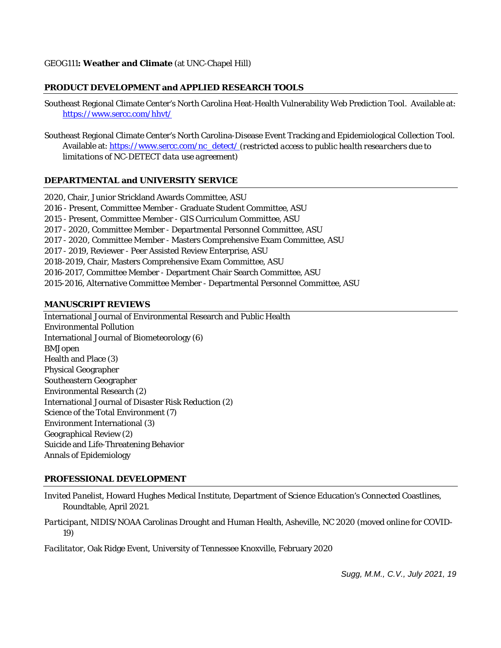## **PRODUCT DEVELOPMENT and APPLIED RESEARCH TOOLS**

Southeast Regional Climate Center's North Carolina Heat-Health Vulnerability Web Prediction Tool. Available at: <https://www.sercc.com/hhvt/>

Southeast Regional Climate Center's North Carolina-Disease Event Tracking and Epidemiological Collection Tool. Available at: [https://www.sercc.com/nc\\_detect/](https://www.sercc.com/nc_detect/) (*restricted access to public health researchers due to limitations of NC-DETECT data use agreement)*

### **DEPARTMENTAL and UNIVERSITY SERVICE**

2020, Chair, Junior Strickland Awards Committee, ASU 2016 - Present, Committee Member - Graduate Student Committee, ASU 2015 - Present, Committee Member - GIS Curriculum Committee, ASU 2017 - 2020, Committee Member - Departmental Personnel Committee, ASU 2017 - 2020, Committee Member - Masters Comprehensive Exam Committee, ASU 2017 - 2019, Reviewer - Peer Assisted Review Enterprise, ASU 2018-2019, Chair, Masters Comprehensive Exam Committee, ASU 2016-2017, Committee Member - Department Chair Search Committee, ASU 2015-2016, Alternative Committee Member - Departmental Personnel Committee, ASU

#### **MANUSCRIPT REVIEWS**

International Journal of Environmental Research and Public Health Environmental Pollution International Journal of Biometeorology (6) BMJopen Health and Place (3) Physical Geographer Southeastern Geographer Environmental Research (2) International Journal of Disaster Risk Reduction (2) Science of the Total Environment (7) Environment International (3) Geographical Review (2) Suicide and Life-Threatening Behavior Annals of Epidemiology

# **PROFESSIONAL DEVELOPMENT**

*Invited Panelist,* Howard Hughes Medical Institute, Department of Science Education's Connected Coastlines, Roundtable, April 2021.

*Participant,* NIDIS/NOAA Carolinas Drought and Human Health*,* Asheville, NC 2020 (moved online for COVID-19)

*Facilitator,* Oak Ridge Event, University of Tennessee Knoxville, February 2020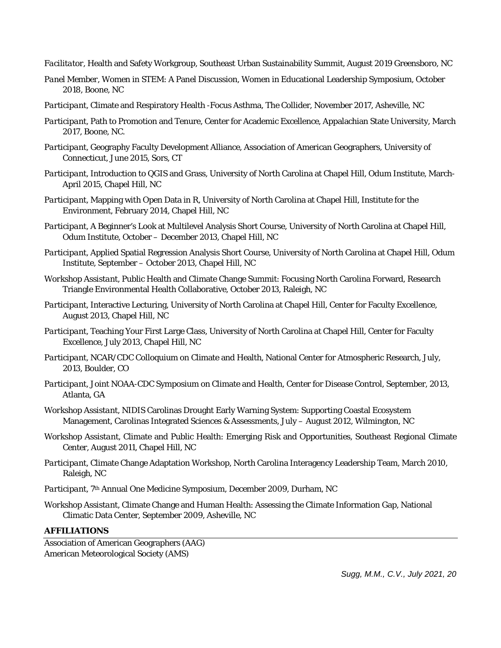- *Facilitator,* Health and Safety Workgroup, Southeast Urban Sustainability Summit, August 2019 Greensboro, NC
- *Panel Member,* Women in STEM: A Panel Discussion, Women in Educational Leadership Symposium, October 2018, Boone, NC
- *Participant,* Climate and Respiratory Health -Focus Asthma, The Collider, November 2017, Asheville, NC
- *Participant,* Path to Promotion and Tenure, Center for Academic Excellence, Appalachian State University, March 2017, Boone, NC.
- *Participant,* Geography Faculty Development Alliance, Association of American Geographers, University of Connecticut, June 2015, Sors, CT
- *Participant,* Introduction to QGIS and Grass, University of North Carolina at Chapel Hill, Odum Institute, March-April 2015, Chapel Hill, NC
- *Participant,* Mapping with Open Data in R, University of North Carolina at Chapel Hill, Institute for the Environment, February 2014, Chapel Hill, NC
- *Participant,* A Beginner's Look at Multilevel Analysis Short Course, University of North Carolina at Chapel Hill, Odum Institute, October – December 2013, Chapel Hill, NC
- *Participant,* Applied Spatial Regression Analysis Short Course, University of North Carolina at Chapel Hill, Odum Institute, September – October 2013, Chapel Hill, NC
- *Workshop Assistant,* Public Health and Climate Change Summit: Focusing North Carolina Forward, Research Triangle Environmental Health Collaborative, October 2013, Raleigh, NC
- *Participant,* Interactive Lecturing, University of North Carolina at Chapel Hill, Center for Faculty Excellence, August 2013, Chapel Hill, NC
- *Participant,* Teaching Your First Large Class, University of North Carolina at Chapel Hill, Center for Faculty Excellence, July 2013, Chapel Hill, NC
- *Participant,* NCAR/CDC Colloquium on Climate and Health, National Center for Atmospheric Research, July, 2013, Boulder, CO
- *[Participant,](http://www.sercc.com/Fuhrmann_NCPHA_20Sept2012.pdf)* [Joint NOAA-CDC Symposium on Climate and Health, Center for Disease Control, September, 2013,](http://www.sercc.com/Fuhrmann_NCPHA_20Sept2012.pdf)  [Atlanta, GA](http://www.sercc.com/Fuhrmann_NCPHA_20Sept2012.pdf)
- *Workshop Assistant,* NIDIS Carolinas Drought Early Warning System: Supporting Coastal Ecosystem Management, Carolinas Integrated Sciences & Assessments, July – August 2012, Wilmington, NC
- *Workshop Assistant,* Climate and Public Health: Emerging Risk and Opportunities, Southeast Regional Climate Center*,* August 2011, Chapel Hill, NC
- *Participant,* Climate Change Adaptation Workshop, North Carolina Interagency Leadership Team, March 2010, Raleigh, NC
- *Participant,* 7th Annual One Medicine Symposium, December 2009, Durham, NC
- *Workshop Assistant*, Climate Change and Human Health: Assessing the Climate Information Gap, National Climatic Data Center, September 2009, Asheville, NC

# **AFFILIATIONS**

Association of American Geographers (AAG) American Meteorological Society (AMS)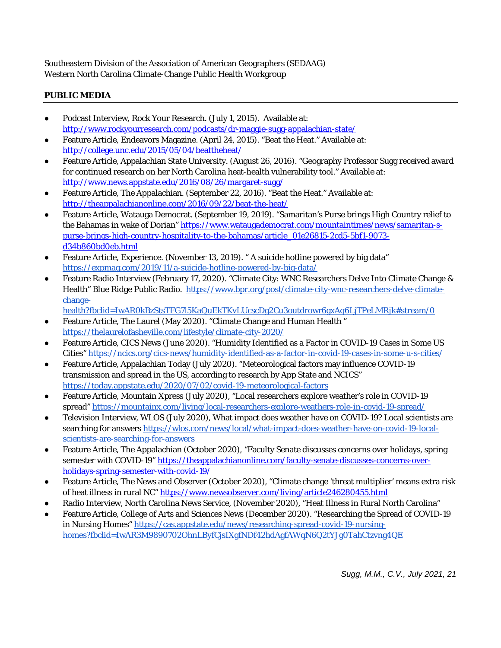Southeastern Division of the Association of American Geographers (SEDAAG) Western North Carolina Climate-Change Public Health Workgroup

# **PUBLIC MEDIA**

- Podcast Interview, Rock Your Research. (July 1, 2015). Available at: <http://www.rockyourresearch.com/podcasts/dr-maggie-sugg-appalachian-state/>
- Feature Article, Endeavors Magazine. (April 24, 2015). "Beat the Heat." Available at: <http://college.unc.edu/2015/05/04/beattheheat/>
- Feature Article, Appalachian State University. (August 26, 2016). "Geography Professor Sugg received award for continued research on her North Carolina heat-health vulnerability tool." Available at: <http://www.news.appstate.edu/2016/08/26/margaret-sugg/>
- Feature Article, The Appalachian. (September 22, 2016). "Beat the Heat." Available at: <http://theappalachianonline.com/2016/09/22/beat-the-heat/>
- Feature Article, Watauga Democrat. (September 19, 2019). "Samaritan's Purse brings High Country relief to the Bahamas in wake of Dorian[" https://www.wataugademocrat.com/mountaintimes/news/samaritan-s](https://www.wataugademocrat.com/mountaintimes/news/samaritan-s-purse-brings-high-country-hospitality-to-the-bahamas/article_01e26815-2cd5-5bf1-9073-d34b860bd0eb.html)[purse-brings-high-country-hospitality-to-the-bahamas/article\\_01e26815-2cd5-5bf1-9073](https://www.wataugademocrat.com/mountaintimes/news/samaritan-s-purse-brings-high-country-hospitality-to-the-bahamas/article_01e26815-2cd5-5bf1-9073-d34b860bd0eb.html) [d34b860bd0eb.html](https://www.wataugademocrat.com/mountaintimes/news/samaritan-s-purse-brings-high-country-hospitality-to-the-bahamas/article_01e26815-2cd5-5bf1-9073-d34b860bd0eb.html)
- Feature Article, Experience. (November 13, 2019). " A suicide hotline powered by big data" <https://expmag.com/2019/11/a-suicide-hotline-powered-by-big-data/>
- Feature Radio Interview (February 17, 2020). "Climate City: WNC Researchers Delve Into Climate Change & Health" Blue Ridge Public Radio. [https://www.bpr.org/post/climate-city-wnc-researchers-delve-climate](https://www.bpr.org/post/climate-city-wnc-researchers-delve-climate-change-health?fbclid=IwAR0kBzStsTFG7l5KaQuEkTKvLUcscDg2Cu3outdrowr6gxAq6LjTPeLMRjk#stream/0)[change](https://www.bpr.org/post/climate-city-wnc-researchers-delve-climate-change-health?fbclid=IwAR0kBzStsTFG7l5KaQuEkTKvLUcscDg2Cu3outdrowr6gxAq6LjTPeLMRjk#stream/0)
	- [health?fbclid=IwAR0kBzStsTFG7l5KaQuEkTKvLUcscDg2Cu3outdrowr6gxAq6LjTPeLMRjk#stream/0](https://www.bpr.org/post/climate-city-wnc-researchers-delve-climate-change-health?fbclid=IwAR0kBzStsTFG7l5KaQuEkTKvLUcscDg2Cu3outdrowr6gxAq6LjTPeLMRjk#stream/0)
- Feature Article, The Laurel (May 2020). "Climate Change and Human Health " <https://thelaurelofasheville.com/lifestyle/climate-city-2020/>
- Feature Article, CICS News (June 2020). "Humidity Identified as a Factor in COVID-19 Cases in Some US Cities"<https://ncics.org/cics-news/humidity-identified-as-a-factor-in-covid-19-cases-in-some-u-s-cities/>
- Feature Article, Appalachian Today (July 2020). "Meteorological factors may influence COVID-19 transmission and spread in the US, according to research by App State and NCICS" <https://today.appstate.edu/2020/07/02/covid-19-meteorological-factors>
- Feature Article, Mountain Xpress (July 2020), "Local researchers explore weather's role in COVID-19 spread"<https://mountainx.com/living/local-researchers-explore-weathers-role-in-covid-19-spread/>
- Television Interview, WLOS (July 2020), What impact does weather have on COVID-19? Local scientists are searching for answers [https://wlos.com/news/local/what-impact-does-weather-have-on-covid-19-local](https://wlos.com/news/local/what-impact-does-weather-have-on-covid-19-local-scientists-are-searching-for-answers)[scientists-are-searching-for-answers](https://wlos.com/news/local/what-impact-does-weather-have-on-covid-19-local-scientists-are-searching-for-answers)
- Feature Article, The Appalachian (October 2020), "Faculty Senate discusses concerns over holidays, spring semester with COVID-19[" https://theappalachianonline.com/faculty-senate-discusses-concerns-over](https://theappalachianonline.com/faculty-senate-discusses-concerns-over-holidays-spring-semester-with-covid-19/)[holidays-spring-semester-with-covid-19/](https://theappalachianonline.com/faculty-senate-discusses-concerns-over-holidays-spring-semester-with-covid-19/)
- Feature Article, The News and Observer (October 2020), "Climate change 'threat multiplier' means extra risk of heat illness in rural NC[" https://www.newsobserver.com/living/article246280455.html](https://www.newsobserver.com/living/article246280455.html)
- Radio Interview, North Carolina News Service, (November 2020), "Heat Illness in Rural North Carolina"
- Feature Article, College of Arts and Sciences News (December 2020). "Researching the Spread of COVID-19 in Nursing Homes" [https://cas.appstate.edu/news/researching-spread-covid-19-nursing](https://cas.appstate.edu/news/researching-spread-covid-19-nursing-homes?fbclid=IwAR3M9890702OhnLByfCjsIXgfNDf42hdAgfAWqN6Q2tYJg0TahCtzvng4QE)[homes?fbclid=IwAR3M9890702OhnLByfCjsIXgfNDf42hdAgfAWqN6Q2tYJg0TahCtzvng4QE](https://cas.appstate.edu/news/researching-spread-covid-19-nursing-homes?fbclid=IwAR3M9890702OhnLByfCjsIXgfNDf42hdAgfAWqN6Q2tYJg0TahCtzvng4QE)